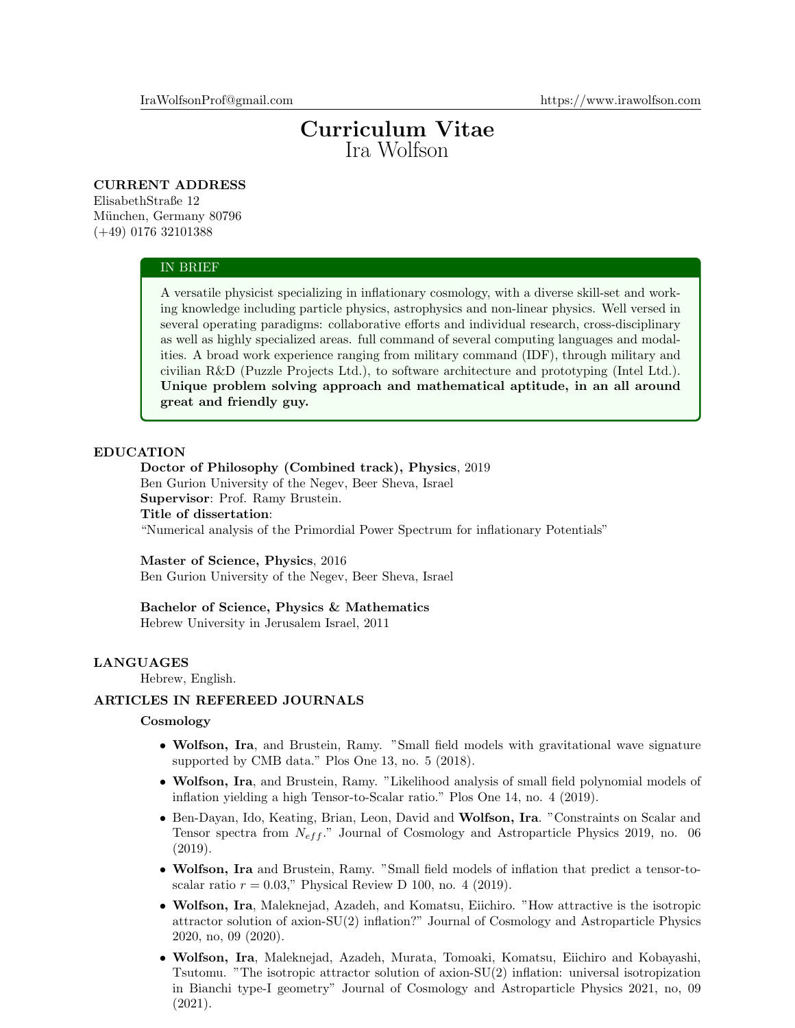# Curriculum Vitae Ira Wolfson

# CURRENT ADDRESS

ElisabethStraße 12 München, Germany 80796 (+49) 0176 32101388

#### IN BRIEF

A versatile physicist specializing in inflationary cosmology, with a diverse skill-set and working knowledge including particle physics, astrophysics and non-linear physics. Well versed in several operating paradigms: collaborative efforts and individual research, cross-disciplinary as well as highly specialized areas. full command of several computing languages and modalities. A broad work experience ranging from military command (IDF), through military and civilian R&D (Puzzle Projects Ltd.), to software architecture and prototyping (Intel Ltd.). Unique problem solving approach and mathematical aptitude, in an all around great and friendly guy.

## EDUCATION

# Doctor of Philosophy (Combined track), Physics, 2019 Ben Gurion University of the Negev, Beer Sheva, Israel Supervisor: Prof. Ramy Brustein. Title of dissertation:

"Numerical analysis of the Primordial Power Spectrum for inflationary Potentials"

#### Master of Science, Physics, 2016

Ben Gurion University of the Negev, Beer Sheva, Israel

#### Bachelor of Science, Physics & Mathematics

Hebrew University in Jerusalem Israel, 2011

# LANGUAGES

Hebrew, English.

# ARTICLES IN REFEREED JOURNALS

## **Cosmology**

- Wolfson, Ira, and Brustein, Ramy. "Small field models with gravitational wave signature supported by CMB data." Plos One 13, no. 5 (2018).
- Wolfson, Ira, and Brustein, Ramy. "Likelihood analysis of small field polynomial models of inflation yielding a high Tensor-to-Scalar ratio." Plos One 14, no. 4 (2019).
- Ben-Dayan, Ido, Keating, Brian, Leon, David and Wolfson, Ira. "Constraints on Scalar and Tensor spectra from  $N_{\text{eff}}$ ." Journal of Cosmology and Astroparticle Physics 2019, no. 06 (2019).
- Wolfson, Ira and Brustein, Ramy. "Small field models of inflation that predict a tensor-toscalar ratio  $r = 0.03$ ," Physical Review D 100, no. 4 (2019).
- Wolfson, Ira, Maleknejad, Azadeh, and Komatsu, Eiichiro. "How attractive is the isotropic attractor solution of axion-SU(2) inflation?" Journal of Cosmology and Astroparticle Physics 2020, no, 09 (2020).
- Wolfson, Ira, Maleknejad, Azadeh, Murata, Tomoaki, Komatsu, Eiichiro and Kobayashi, Tsutomu. "The isotropic attractor solution of axion-SU(2) inflation: universal isotropization in Bianchi type-I geometry" Journal of Cosmology and Astroparticle Physics 2021, no, 09 (2021).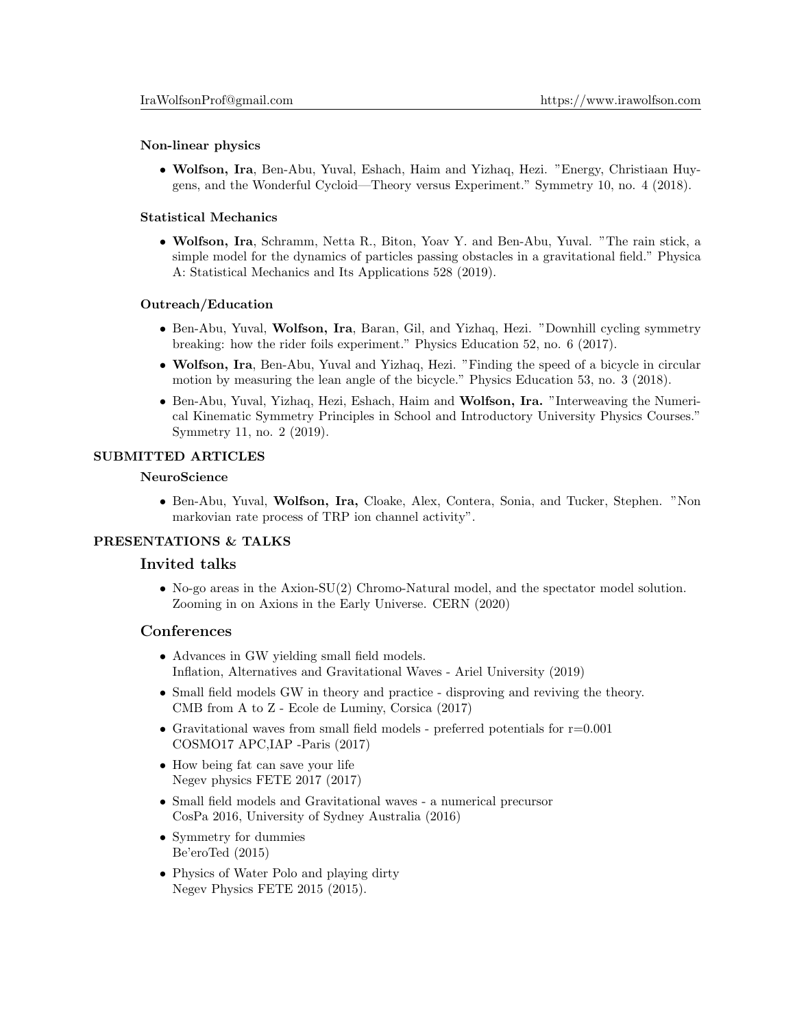## Non-linear physics

• Wolfson, Ira, Ben-Abu, Yuval, Eshach, Haim and Yizhaq, Hezi. "Energy, Christiaan Huygens, and the Wonderful Cycloid—Theory versus Experiment." Symmetry 10, no. 4 (2018).

## Statistical Mechanics

• Wolfson, Ira, Schramm, Netta R., Biton, Yoav Y. and Ben-Abu, Yuval. "The rain stick, a simple model for the dynamics of particles passing obstacles in a gravitational field." Physica A: Statistical Mechanics and Its Applications 528 (2019).

## Outreach/Education

- Ben-Abu, Yuval, Wolfson, Ira, Baran, Gil, and Yizhaq, Hezi. "Downhill cycling symmetry breaking: how the rider foils experiment." Physics Education 52, no. 6 (2017).
- Wolfson, Ira, Ben-Abu, Yuval and Yizhaq, Hezi. "Finding the speed of a bicycle in circular motion by measuring the lean angle of the bicycle." Physics Education 53, no. 3 (2018).
- Ben-Abu, Yuval, Yizhaq, Hezi, Eshach, Haim and Wolfson, Ira. "Interweaving the Numerical Kinematic Symmetry Principles in School and Introductory University Physics Courses." Symmetry 11, no. 2 (2019).

## SUBMITTED ARTICLES

## NeuroScience

• Ben-Abu, Yuval, Wolfson, Ira, Cloake, Alex, Contera, Sonia, and Tucker, Stephen. "Non markovian rate process of TRP ion channel activity".

## PRESENTATIONS & TALKS

# Invited talks

• No-go areas in the Axion-SU(2) Chromo-Natural model, and the spectator model solution. Zooming in on Axions in the Early Universe. CERN (2020)

# **Conferences**

- Advances in GW yielding small field models. Inflation, Alternatives and Gravitational Waves - Ariel University (2019)
- Small field models GW in theory and practice disproving and reviving the theory. CMB from A to Z - Ecole de Luminy, Corsica (2017)
- Gravitational waves from small field models preferred potentials for  $r=0.001$ COSMO17 APC,IAP -Paris (2017)
- How being fat can save your life Negev physics FETE 2017 (2017)
- Small field models and Gravitational waves a numerical precursor CosPa 2016, University of Sydney Australia (2016)
- Symmetry for dummies Be'eroTed (2015)
- Physics of Water Polo and playing dirty Negev Physics FETE 2015 (2015).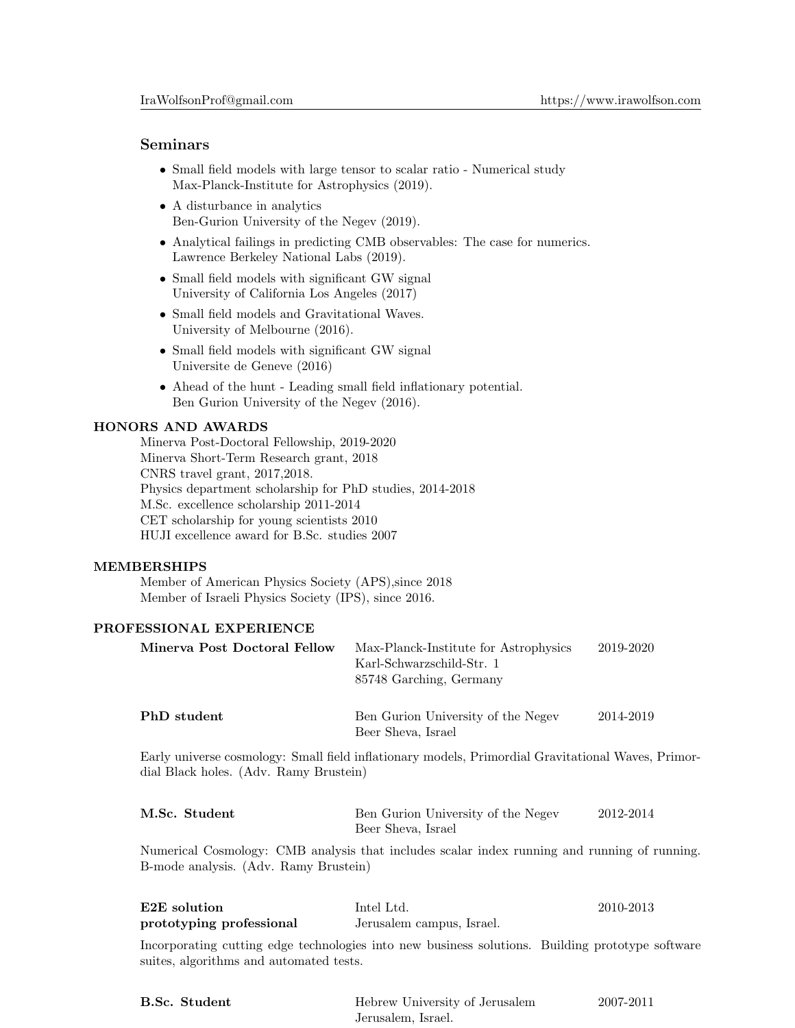## Seminars

- Small field models with large tensor to scalar ratio Numerical study Max-Planck-Institute for Astrophysics (2019).
- A disturbance in analytics Ben-Gurion University of the Negev (2019).
- Analytical failings in predicting CMB observables: The case for numerics. Lawrence Berkeley National Labs (2019).
- Small field models with significant GW signal University of California Los Angeles (2017)
- Small field models and Gravitational Waves. University of Melbourne (2016).
- Small field models with significant GW signal Universite de Geneve (2016)
- Ahead of the hunt Leading small field inflationary potential. Ben Gurion University of the Negev (2016).

## HONORS AND AWARDS

Minerva Post-Doctoral Fellowship, 2019-2020 Minerva Short-Term Research grant, 2018 CNRS travel grant, 2017,2018. Physics department scholarship for PhD studies, 2014-2018 M.Sc. excellence scholarship 2011-2014 CET scholarship for young scientists 2010 HUJI excellence award for B.Sc. studies 2007

## MEMBERSHIPS

Member of American Physics Society (APS),since 2018 Member of Israeli Physics Society (IPS), since 2016.

# PROFESSIONAL EXPERIENCE

| Minerva Post Doctoral Fellow           | Max-Planck-Institute for Astrophysics<br>Karl-Schwarzschild-Str. 1<br>85748 Garching, Germany      | 2019-2020 |
|----------------------------------------|----------------------------------------------------------------------------------------------------|-----------|
| PhD student                            | Ben Gurion University of the Negev<br>Beer Sheva, Israel                                           | 2014-2019 |
| dial Black holes. (Adv. Ramy Brustein) | Early universe cosmology: Small field inflationary models, Primordial Gravitational Waves, Primor- |           |
| M.Sc. Student                          | Ben Gurion University of the Negev<br>Beer Sheva, Israel                                           | 2012-2014 |
|                                        |                                                                                                    |           |

Numerical Cosmology: CMB analysis that includes scalar index running and running of running. B-mode analysis. (Adv. Ramy Brustein)

| E <sub>2</sub> E solution                                                                        | Intel Ltd.                | 2010-2013 |
|--------------------------------------------------------------------------------------------------|---------------------------|-----------|
| prototyping professional                                                                         | Jerusalem campus, Israel. |           |
| Incorporating cutting edge technologies into new business solutions. Building prototype software |                           |           |
| suites, algorithms and automated tests.                                                          |                           |           |

| <b>B.Sc.</b> Student | Hebrew University of Jerusalem | 2007-2011 |
|----------------------|--------------------------------|-----------|
|                      | Jerusalem. Israel.             |           |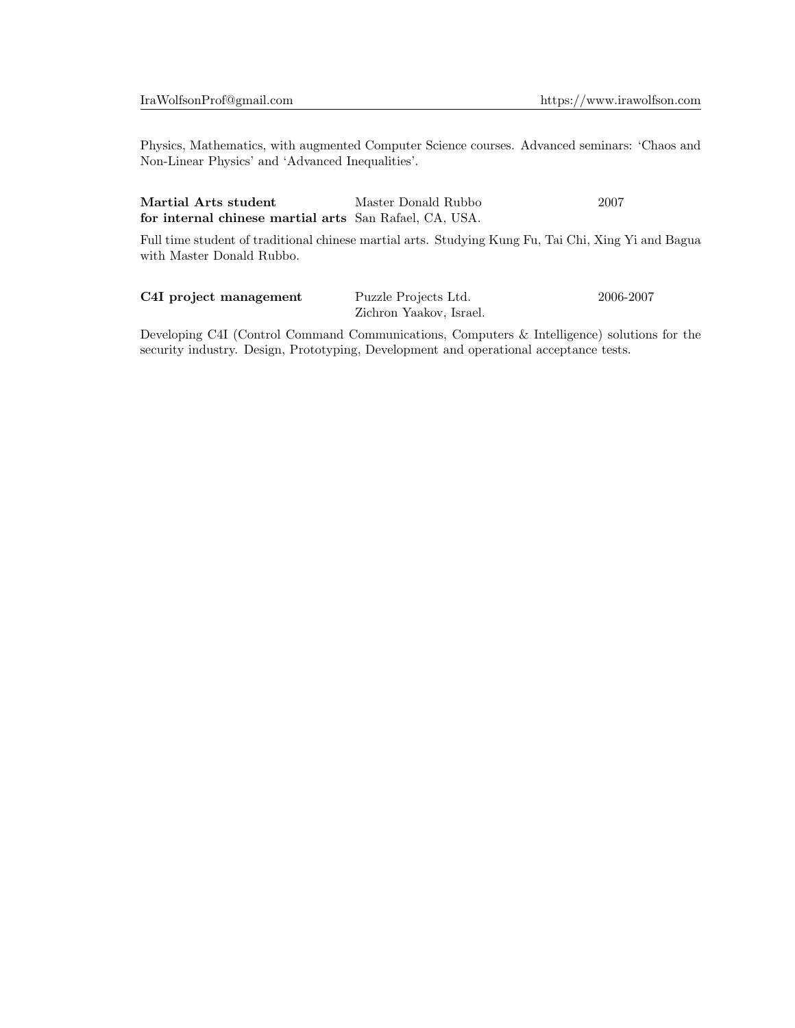Physics, Mathematics, with augmented Computer Science courses. Advanced seminars: 'Chaos and Non-Linear Physics' and 'Advanced Inequalities'.

| Martial Arts student                                                                                                                                                                                                                                                                                                     | Master Donald Rubbo | 2007 |
|--------------------------------------------------------------------------------------------------------------------------------------------------------------------------------------------------------------------------------------------------------------------------------------------------------------------------|---------------------|------|
| for internal chinese martial arts San Rafael, CA, USA.                                                                                                                                                                                                                                                                   |                     |      |
| $\mathbf{F}^{(1)}$ . $\mathbf{F}^{(1)}$ . $\mathbf{F}^{(2)}$ . $\mathbf{F}^{(3)}$ . $\mathbf{F}^{(4)}$ . $\mathbf{F}^{(5)}$ . $\mathbf{F}^{(6)}$ . $\mathbf{F}^{(7)}$ . $\mathbf{F}^{(8)}$ . $\mathbf{F}^{(8)}$ . $\mathbf{F}^{(8)}$ . $\mathbf{F}^{(8)}$ . $\mathbf{F}^{(8)}$ . $\mathbf{F}^{(8)}$ . $\mathbf{F}^{(8)}$ |                     |      |

Full time student of traditional chinese martial arts. Studying Kung Fu, Tai Chi, Xing Yi and Bagua with Master Donald Rubbo.

| C4I project management | Puzzle Projects Ltd.    | 2006-2007 |
|------------------------|-------------------------|-----------|
|                        | Zichron Yaakov, Israel. |           |

Developing C4I (Control Command Communications, Computers & Intelligence) solutions for the security industry. Design, Prototyping, Development and operational acceptance tests.